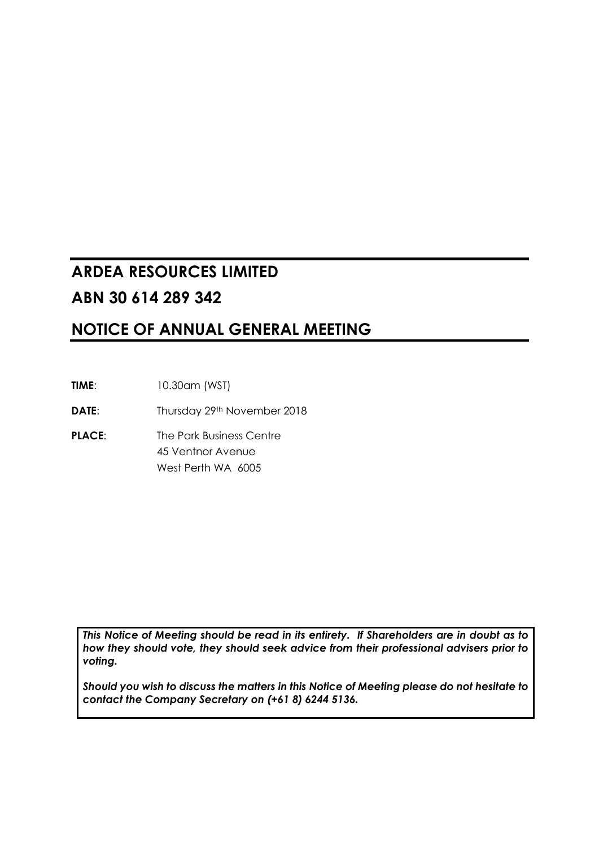# **ARDEA RESOURCES LIMITED ABN 30 614 289 342**

# **NOTICE OF ANNUAL GENERAL MEETING**

**TIME**: 10.30am (WST)

**DATE:** Thursday 29th November 2018

**PLACE:** The Park Business Centre 45 Ventnor Avenue West Perth WA 6005

*This Notice of Meeting should be read in its entirety. If Shareholders are in doubt as to how they should vote, they should seek advice from their professional advisers prior to voting.*

*Should you wish to discuss the matters in this Notice of Meeting please do not hesitate to contact the Company Secretary on (+61 8) 6244 5136.*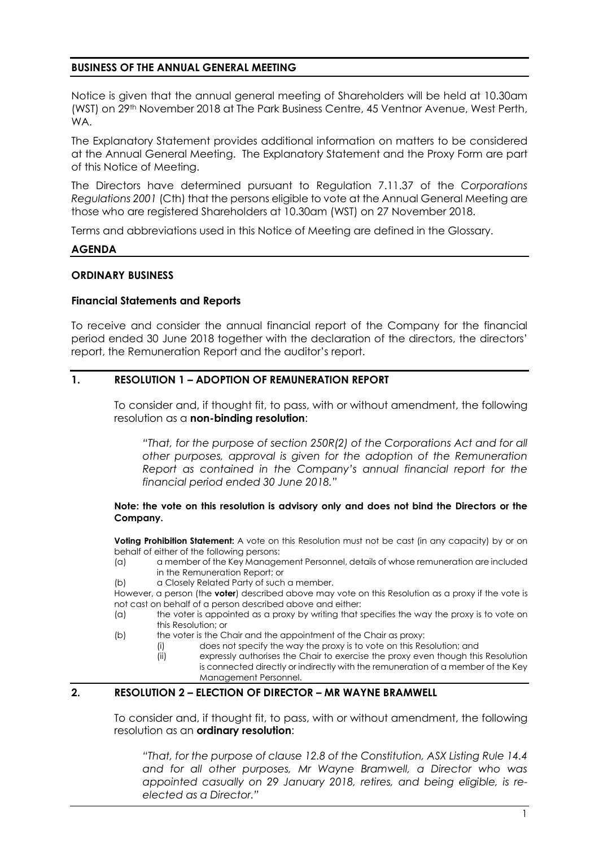## **BUSINESS OF THE ANNUAL GENERAL MEETING**

Notice is given that the annual general meeting of Shareholders will be held at 10.30am (WST) on 29th November 2018 at The Park Business Centre, 45 Ventnor Avenue, West Perth, WA.

The Explanatory Statement provides additional information on matters to be considered at the Annual General Meeting. The Explanatory Statement and the Proxy Form are part of this Notice of Meeting.

The Directors have determined pursuant to Regulation 7.11.37 of the *Corporations Regulations 2001* (Cth) that the persons eligible to vote at the Annual General Meeting are those who are registered Shareholders at 10.30am (WST) on 27 November 2018.

Terms and abbreviations used in this Notice of Meeting are defined in the Glossary.

#### **AGENDA**

## **ORDINARY BUSINESS**

#### **Financial Statements and Reports**

To receive and consider the annual financial report of the Company for the financial period ended 30 June 2018 together with the declaration of the directors, the directors' report, the Remuneration Report and the auditor's report.

## **1. RESOLUTION 1 – ADOPTION OF REMUNERATION REPORT**

To consider and, if thought fit, to pass, with or without amendment, the following resolution as a **non-binding resolution**:

*"That, for the purpose of section 250R(2) of the Corporations Act and for all other purposes, approval is given for the adoption of the Remuneration Report as contained in the Company's annual financial report for the financial period ended 30 June 2018."*

#### **Note: the vote on this resolution is advisory only and does not bind the Directors or the Company.**

**Voting Prohibition Statement:** A vote on this Resolution must not be cast (in any capacity) by or on behalf of either of the following persons:

(a) a member of the Key Management Personnel, details of whose remuneration are included in the Remuneration Report; or

(b) a Closely Related Party of such a member.

However, a person (the **voter**) described above may vote on this Resolution as a proxy if the vote is not cast on behalf of a person described above and either:

- (a) the voter is appointed as a proxy by writing that specifies the way the proxy is to vote on this Resolution; or
- (b) the voter is the Chair and the appointment of the Chair as proxy:
	- (i) does not specify the way the proxy is to vote on this Resolution; and<br>(ii) expressly authorises the Chair to exercise the proxy even though this
		- expressly authorises the Chair to exercise the proxy even though this Resolution is connected directly or indirectly with the remuneration of a member of the Key Management Personnel.

## **2. RESOLUTION 2 – ELECTION OF DIRECTOR – MR WAYNE BRAMWELL**

To consider and, if thought fit, to pass, with or without amendment, the following resolution as an **ordinary resolution**:

*"That, for the purpose of clause 12.8 of the Constitution, ASX Listing Rule 14.4 and for all other purposes, Mr Wayne Bramwell, a Director who was appointed casually on 29 January 2018, retires, and being eligible, is reelected as a Director."*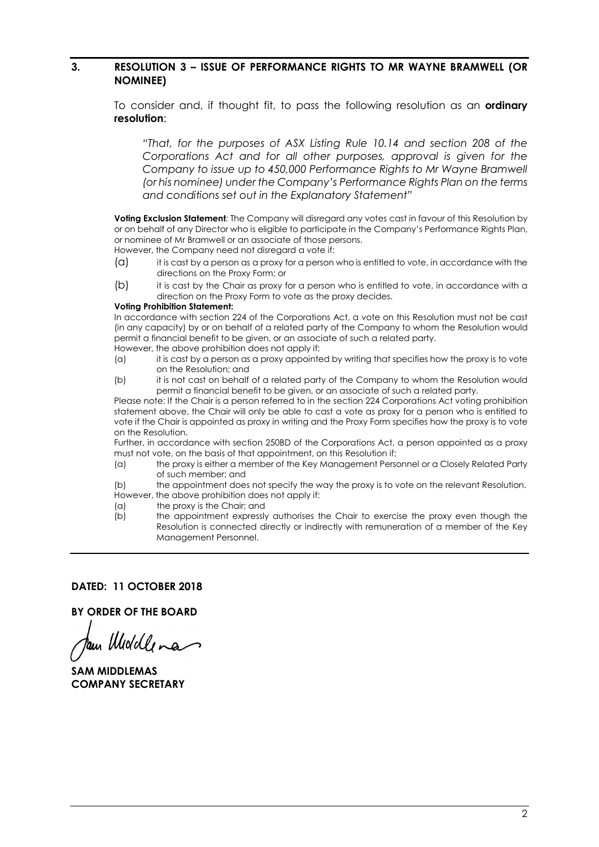## **3. RESOLUTION 3 – ISSUE OF PERFORMANCE RIGHTS TO MR WAYNE BRAMWELL (OR NOMINEE)**

To consider and, if thought fit, to pass the following resolution as an **ordinary resolution**:

*"That, for the purposes of ASX Listing Rule 10.14 and section 208 of the Corporations Act and for all other purposes, approval is given for the Company to issue up to 450,000 Performance Rights to Mr Wayne Bramwell (or his nominee) under the Company's Performance Rights Plan on the terms and conditions set out in the Explanatory Statement"* 

**Voting Exclusion Statement***:* The Company will disregard any votes cast in favour of this Resolution by or on behalf of any Director who is eligible to participate in the Company's Performance Rights Plan, or nominee of Mr Bramwell or an associate of those persons.

However, the Company need not disregard a vote if:

- (a) it is cast by a person as a proxy for a person who is entitled to vote, in accordance with the directions on the Proxy Form; or
- (b) it is cast by the Chair as proxy for a person who is entitled to vote, in accordance with a direction on the Proxy Form to vote as the proxy decides.

#### **Voting Prohibition Statement:**

In accordance with section 224 of the Corporations Act, a vote on this Resolution must not be cast (in any capacity) by or on behalf of a related party of the Company to whom the Resolution would permit a financial benefit to be given, or an associate of such a related party. However, the above prohibition does not apply if:

- (a) it is cast by a person as a proxy appointed by writing that specifies how the proxy is to vote on the Resolution; and
- (b) it is not cast on behalf of a related party of the Company to whom the Resolution would permit a financial benefit to be given, or an associate of such a related party.

Please note: If the Chair is a person referred to in the section 224 Corporations Act voting prohibition statement above, the Chair will only be able to cast a vote as proxy for a person who is entitled to vote if the Chair is appointed as proxy in writing and the Proxy Form specifies how the proxy is to vote on the Resolution.

Further, in accordance with section 250BD of the Corporations Act, a person appointed as a proxy must not vote, on the basis of that appointment, on this Resolution if:

- (a) the proxy is either a member of the Key Management Personnel or a Closely Related Party of such member; and
- (b) the appointment does not specify the way the proxy is to vote on the relevant Resolution. However, the above prohibition does not apply if:
- (a) the proxy is the Chair; and
- (b) the appointment expressly authorises the Chair to exercise the proxy even though the Resolution is connected directly or indirectly with remuneration of a member of the Key Management Personnel.

#### **DATED: 11 OCTOBER 2018**

**BY ORDER OF THE BOARD** 

am Middlena

**SAM MIDDLEMAS COMPANY SECRETARY**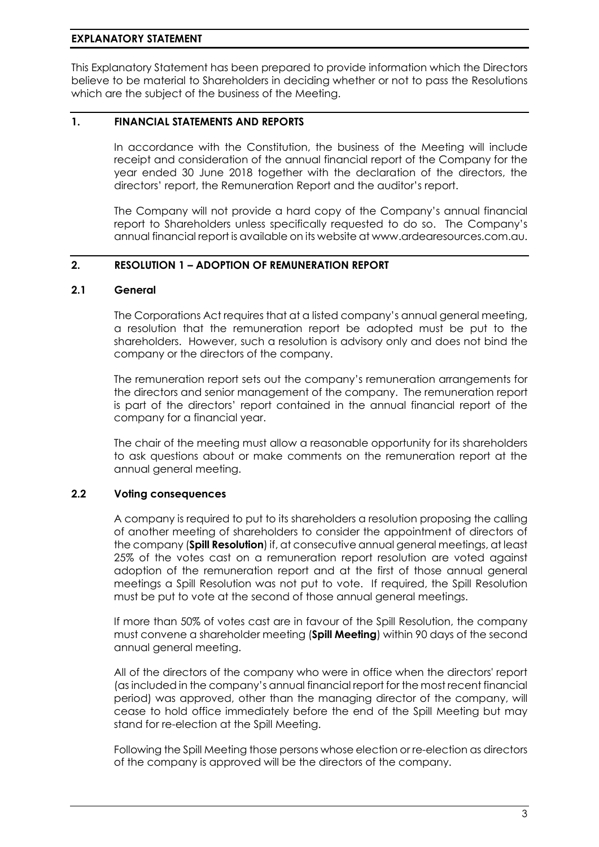## **EXPLANATORY STATEMENT**

This Explanatory Statement has been prepared to provide information which the Directors believe to be material to Shareholders in deciding whether or not to pass the Resolutions which are the subject of the business of the Meeting.

## **1. FINANCIAL STATEMENTS AND REPORTS**

In accordance with the Constitution, the business of the Meeting will include receipt and consideration of the annual financial report of the Company for the year ended 30 June 2018 together with the declaration of the directors, the directors' report, the Remuneration Report and the auditor's report.

The Company will not provide a hard copy of the Company's annual financial report to Shareholders unless specifically requested to do so. The Company's annual financial report is available on its website at www.ardearesources.com.au.

## **2. RESOLUTION 1 – ADOPTION OF REMUNERATION REPORT**

#### **2.1 General**

The Corporations Act requires that at a listed company's annual general meeting, a resolution that the remuneration report be adopted must be put to the shareholders. However, such a resolution is advisory only and does not bind the company or the directors of the company.

The remuneration report sets out the company's remuneration arrangements for the directors and senior management of the company. The remuneration report is part of the directors' report contained in the annual financial report of the company for a financial year.

The chair of the meeting must allow a reasonable opportunity for its shareholders to ask questions about or make comments on the remuneration report at the annual general meeting.

## **2.2 Voting consequences**

A company is required to put to its shareholders a resolution proposing the calling of another meeting of shareholders to consider the appointment of directors of the company (**Spill Resolution**) if, at consecutive annual general meetings, at least 25% of the votes cast on a remuneration report resolution are voted against adoption of the remuneration report and at the first of those annual general meetings a Spill Resolution was not put to vote. If required, the Spill Resolution must be put to vote at the second of those annual general meetings.

If more than 50% of votes cast are in favour of the Spill Resolution, the company must convene a shareholder meeting (**Spill Meeting**) within 90 days of the second annual general meeting.

All of the directors of the company who were in office when the directors' report (as included in the company's annual financial report for the most recent financial period) was approved, other than the managing director of the company, will cease to hold office immediately before the end of the Spill Meeting but may stand for re-election at the Spill Meeting.

Following the Spill Meeting those persons whose election or re-election as directors of the company is approved will be the directors of the company.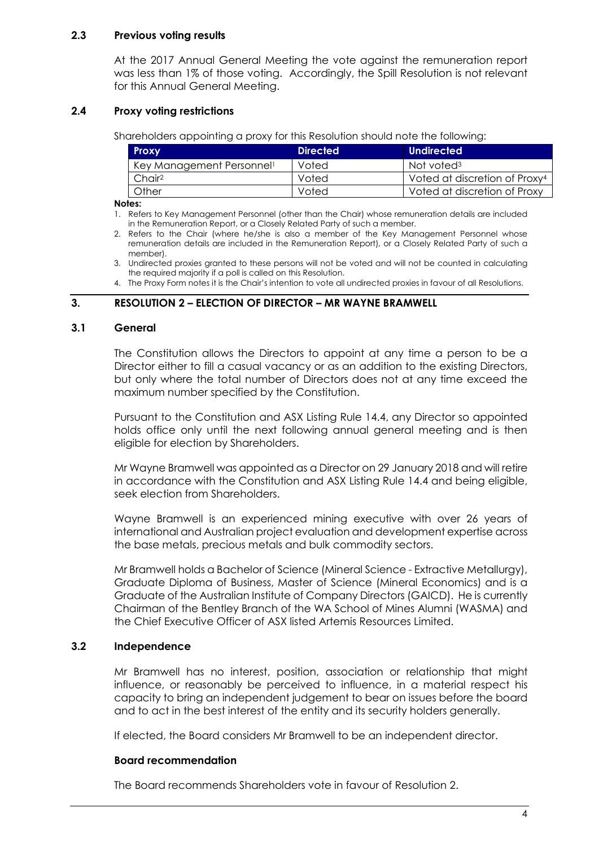## **2.3 Previous voting results**

At the 2017 Annual General Meeting the vote against the remuneration report was less than 1% of those voting. Accordingly, the Spill Resolution is not relevant for this Annual General Meeting.

## **2.4 Proxy voting restrictions**

Shareholders appointing a proxy for this Resolution should note the following:

| <b>Proxy</b>                          | <b>Directed</b> | Undirected                                |
|---------------------------------------|-----------------|-------------------------------------------|
| Key Management Personnel <sup>1</sup> | Voted           | Not voted <sup>3</sup>                    |
| Chair <sup>2</sup>                    | Voted           | Voted at discretion of Proxy <sup>4</sup> |
| Other                                 | Voted           | Voted at discretion of Proxy              |

#### **Notes:**

- 1. Refers to Key Management Personnel (other than the Chair) whose remuneration details are included in the Remuneration Report, or a Closely Related Party of such a member.
- 2. Refers to the Chair (where he/she is also a member of the Key Management Personnel whose remuneration details are included in the Remuneration Report), or a Closely Related Party of such a member).
- 3. Undirected proxies granted to these persons will not be voted and will not be counted in calculating the required majority if a poll is called on this Resolution.
- 4. The Proxy Form notes it is the Chair's intention to vote all undirected proxies in favour of all Resolutions.

## **3. RESOLUTION 2 – ELECTION OF DIRECTOR – MR WAYNE BRAMWELL**

#### **3.1 General**

The Constitution allows the Directors to appoint at any time a person to be a Director either to fill a casual vacancy or as an addition to the existing Directors, but only where the total number of Directors does not at any time exceed the maximum number specified by the Constitution.

Pursuant to the Constitution and ASX Listing Rule 14.4, any Director so appointed holds office only until the next following annual general meeting and is then eligible for election by Shareholders.

Mr Wayne Bramwell was appointed as a Director on 29 January 2018 and will retire in accordance with the Constitution and ASX Listing Rule 14.4 and being eligible, seek election from Shareholders.

Wayne Bramwell is an experienced mining executive with over 26 years of international and Australian project evaluation and development expertise across the base metals, precious metals and bulk commodity sectors.

Mr Bramwell holds a Bachelor of Science (Mineral Science - Extractive Metallurgy), Graduate Diploma of Business, Master of Science (Mineral Economics) and is a Graduate of the Australian Institute of Company Directors (GAICD). He is currently Chairman of the Bentley Branch of the WA School of Mines Alumni (WASMA) and the Chief Executive Officer of ASX listed Artemis Resources Limited.

## **3.2 Independence**

Mr Bramwell has no interest, position, association or relationship that might influence, or reasonably be perceived to influence, in a material respect his capacity to bring an independent judgement to bear on issues before the board and to act in the best interest of the entity and its security holders generally.

If elected, the Board considers Mr Bramwell to be an independent director.

## **Board recommendation**

The Board recommends Shareholders vote in favour of Resolution 2.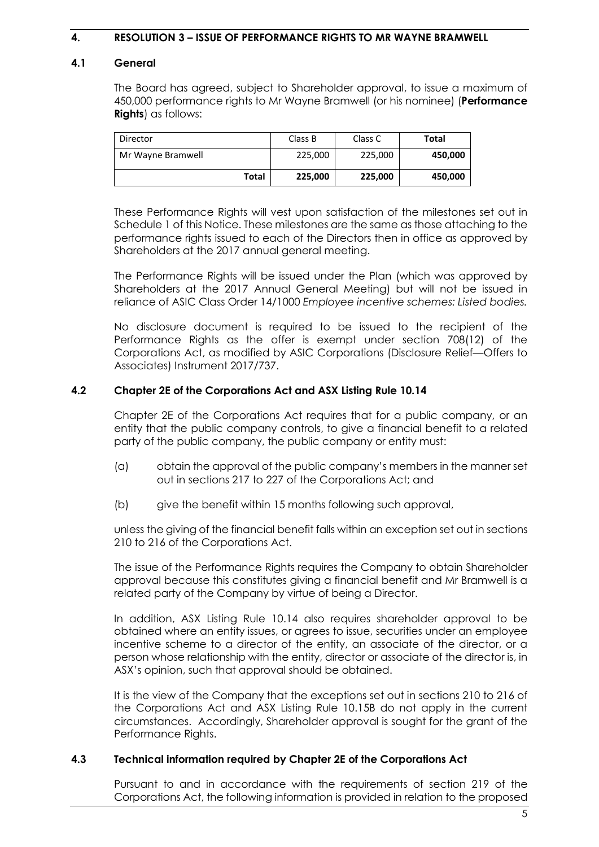## **4. RESOLUTION 3 – ISSUE OF PERFORMANCE RIGHTS TO MR WAYNE BRAMWELL**

#### **4.1 General**

The Board has agreed, subject to Shareholder approval, to issue a maximum of 450,000 performance rights to Mr Wayne Bramwell (or his nominee) (**Performance Rights**) as follows:

| Director          | Class B | Class C | Total   |
|-------------------|---------|---------|---------|
| Mr Wayne Bramwell | 225,000 | 225,000 | 450,000 |
| Total             | 225,000 | 225,000 | 450,000 |

These Performance Rights will vest upon satisfaction of the milestones set out in Schedule 1 of this Notice. These milestones are the same as those attaching to the performance rights issued to each of the Directors then in office as approved by Shareholders at the 2017 annual general meeting.

The Performance Rights will be issued under the Plan (which was approved by Shareholders at the 2017 Annual General Meeting) but will not be issued in reliance of ASIC Class Order 14/1000 *Employee incentive schemes: Listed bodies.*

No disclosure document is required to be issued to the recipient of the Performance Rights as the offer is exempt under section 708(12) of the Corporations Act, as modified by ASIC Corporations (Disclosure Relief—Offers to Associates) Instrument 2017/737.

## **4.2 Chapter 2E of the Corporations Act and ASX Listing Rule 10.14**

Chapter 2E of the Corporations Act requires that for a public company, or an entity that the public company controls, to give a financial benefit to a related party of the public company, the public company or entity must:

- (a) obtain the approval of the public company's members in the manner set out in sections 217 to 227 of the Corporations Act; and
- (b) give the benefit within 15 months following such approval,

unless the giving of the financial benefit falls within an exception set out in sections 210 to 216 of the Corporations Act.

The issue of the Performance Rights requires the Company to obtain Shareholder approval because this constitutes giving a financial benefit and Mr Bramwell is a related party of the Company by virtue of being a Director.

In addition, ASX Listing Rule 10.14 also requires shareholder approval to be obtained where an entity issues, or agrees to issue, securities under an employee incentive scheme to a director of the entity, an associate of the director, or a person whose relationship with the entity, director or associate of the director is, in ASX's opinion, such that approval should be obtained.

It is the view of the Company that the exceptions set out in sections 210 to 216 of the Corporations Act and ASX Listing Rule 10.15B do not apply in the current circumstances. Accordingly, Shareholder approval is sought for the grant of the Performance Rights.

## **4.3 Technical information required by Chapter 2E of the Corporations Act**

Pursuant to and in accordance with the requirements of section 219 of the Corporations Act, the following information is provided in relation to the proposed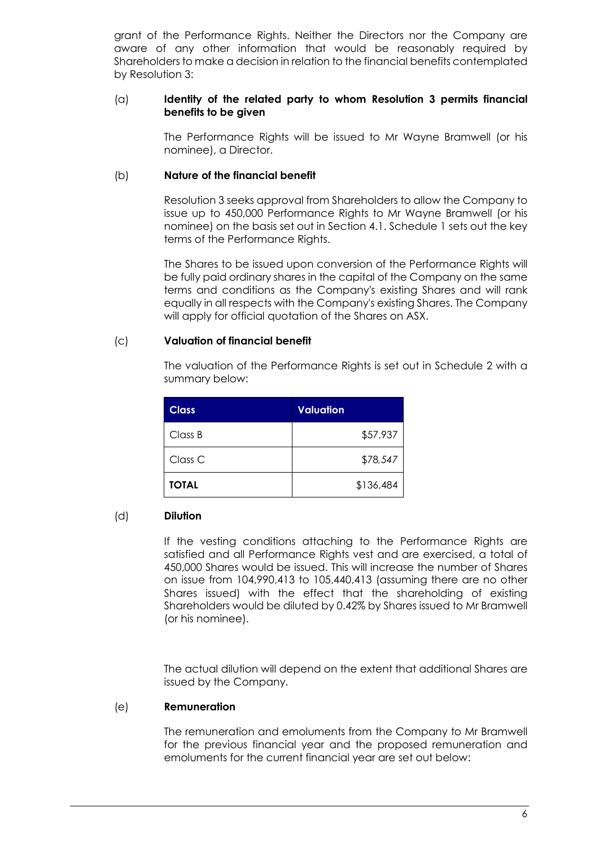grant of the Performance Rights. Neither the Directors nor the Company are aware of any other information that would be reasonably required by Shareholders to make a decision in relation to the financial benefits contemplated by Resolution 3:

## (a) **Identity of the related party to whom Resolution 3 permits financial benefits to be given**

The Performance Rights will be issued to Mr Wayne Bramwell (or his nominee), a Director.

## (b) **Nature of the financial benefit**

Resolution 3 seeks approval from Shareholders to allow the Company to issue up to 450,000 Performance Rights to Mr Wayne Bramwell (or his nominee) on the basis set out in Section 4.1. Schedule 1 sets out the key terms of the Performance Rights.

The Shares to be issued upon conversion of the Performance Rights will be fully paid ordinary shares in the capital of the Company on the same terms and conditions as the Company's existing Shares and will rank equally in all respects with the Company's existing Shares. The Company will apply for official quotation of the Shares on ASX.

## (c) **Valuation of financial benefit**

The valuation of the Performance Rights is set out in Schedule 2 with a summary below:

| <b>Class</b>       | <b>Valuation</b> |
|--------------------|------------------|
| Class B            | \$57,937         |
| Class <sub>C</sub> | \$78,547         |
| <b>TOTAL</b>       | \$136,484        |

# (d) **Dilution**

If the vesting conditions attaching to the Performance Rights are satisfied and all Performance Rights vest and are exercised, a total of 450,000 Shares would be issued. This will increase the number of Shares on issue from 104,990,413 to 105,440,413 (assuming there are no other Shares issued) with the effect that the shareholding of existing Shareholders would be diluted by 0.42% by Shares issued to Mr Bramwell (or his nominee).

The actual dilution will depend on the extent that additional Shares are issued by the Company.

## (e) **Remuneration**

The remuneration and emoluments from the Company to Mr Bramwell for the previous financial year and the proposed remuneration and emoluments for the current financial year are set out below: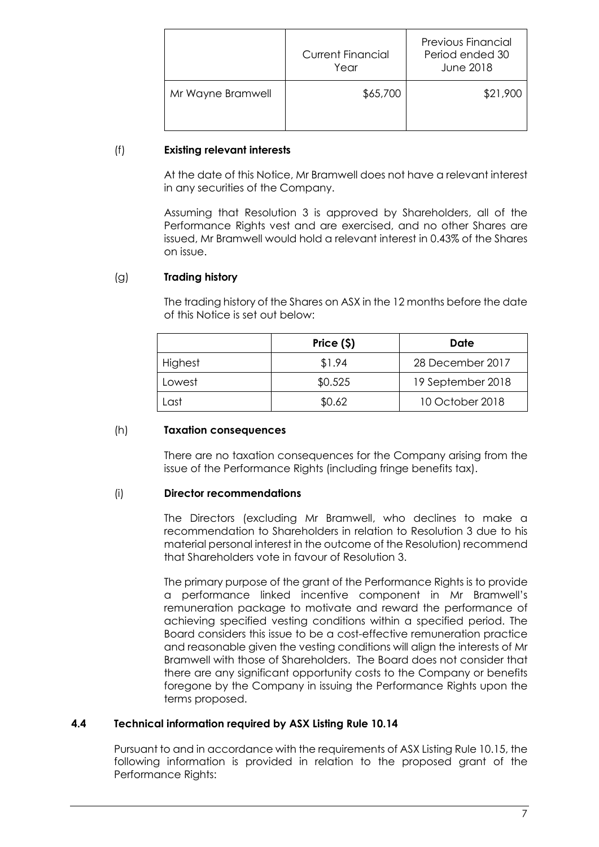|                   | <b>Current Financial</b><br>Year | <b>Previous Financial</b><br>Period ended 30<br>June 2018 |
|-------------------|----------------------------------|-----------------------------------------------------------|
| Mr Wayne Bramwell | \$65,700                         | \$21,900                                                  |

## (f) **Existing relevant interests**

At the date of this Notice, Mr Bramwell does not have a relevant interest in any securities of the Company.

Assuming that Resolution 3 is approved by Shareholders, all of the Performance Rights vest and are exercised, and no other Shares are issued, Mr Bramwell would hold a relevant interest in 0.43% of the Shares on issue.

# (g) **Trading history**

The trading history of the Shares on ASX in the 12 months before the date of this Notice is set out below:

|         | Price $($ \$) | Date              |
|---------|---------------|-------------------|
| Highest | \$1.94        | 28 December 2017  |
| Lowest  | \$0.525       | 19 September 2018 |
| .ast    | \$0.62        | 10 October 2018   |

## (h) **Taxation consequences**

There are no taxation consequences for the Company arising from the issue of the Performance Rights (including fringe benefits tax).

# (i) **Director recommendations**

The Directors (excluding Mr Bramwell, who declines to make a recommendation to Shareholders in relation to Resolution 3 due to his material personal interest in the outcome of the Resolution) recommend that Shareholders vote in favour of Resolution 3.

The primary purpose of the grant of the Performance Rights is to provide a performance linked incentive component in Mr Bramwell's remuneration package to motivate and reward the performance of achieving specified vesting conditions within a specified period. The Board considers this issue to be a cost-effective remuneration practice and reasonable given the vesting conditions will align the interests of Mr Bramwell with those of Shareholders. The Board does not consider that there are any significant opportunity costs to the Company or benefits foregone by the Company in issuing the Performance Rights upon the terms proposed.

# **4.4 Technical information required by ASX Listing Rule 10.14**

Pursuant to and in accordance with the requirements of ASX Listing Rule 10.15, the following information is provided in relation to the proposed grant of the Performance Rights: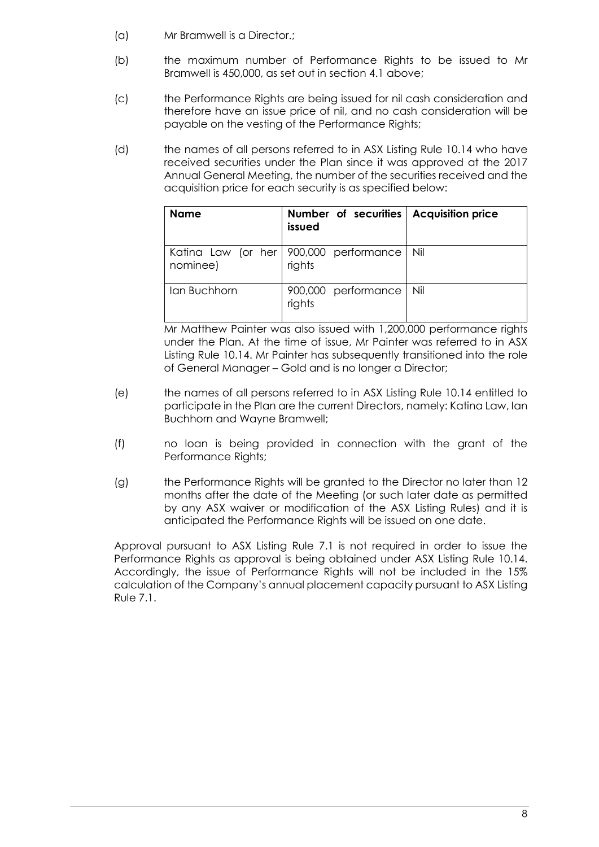- (a) Mr Bramwell is a Director.;
- (b) the maximum number of Performance Rights to be issued to Mr Bramwell is 450,000, as set out in section 4.1 above;
- (c) the Performance Rights are being issued for nil cash consideration and therefore have an issue price of nil, and no cash consideration will be payable on the vesting of the Performance Rights;
- (d) the names of all persons referred to in ASX Listing Rule 10.14 who have received securities under the Plan since it was approved at the 2017 Annual General Meeting, the number of the securities received and the acquisition price for each security is as specified below:

| <b>Name</b>  | Number of securities   Acquisition price<br>issued |     |
|--------------|----------------------------------------------------|-----|
| nominee)     | Katina Law (or her 900,000 performance<br>rights   | Nil |
| Ian Buchhorn | 900,000 performance<br>rights                      | Nil |

Mr Matthew Painter was also issued with 1,200,000 performance rights under the Plan. At the time of issue, Mr Painter was referred to in ASX Listing Rule 10.14. Mr Painter has subsequently transitioned into the role of General Manager – Gold and is no longer a Director;

- (e) the names of all persons referred to in ASX Listing Rule 10.14 entitled to participate in the Plan are the current Directors, namely: Katina Law, Ian Buchhorn and Wayne Bramwell;
- (f) no loan is being provided in connection with the grant of the Performance Rights;
- (g) the Performance Rights will be granted to the Director no later than 12 months after the date of the Meeting (or such later date as permitted by any ASX waiver or modification of the ASX Listing Rules) and it is anticipated the Performance Rights will be issued on one date.

Approval pursuant to ASX Listing Rule 7.1 is not required in order to issue the Performance Rights as approval is being obtained under ASX Listing Rule 10.14. Accordingly, the issue of Performance Rights will not be included in the 15% calculation of the Company's annual placement capacity pursuant to ASX Listing Rule 7.1.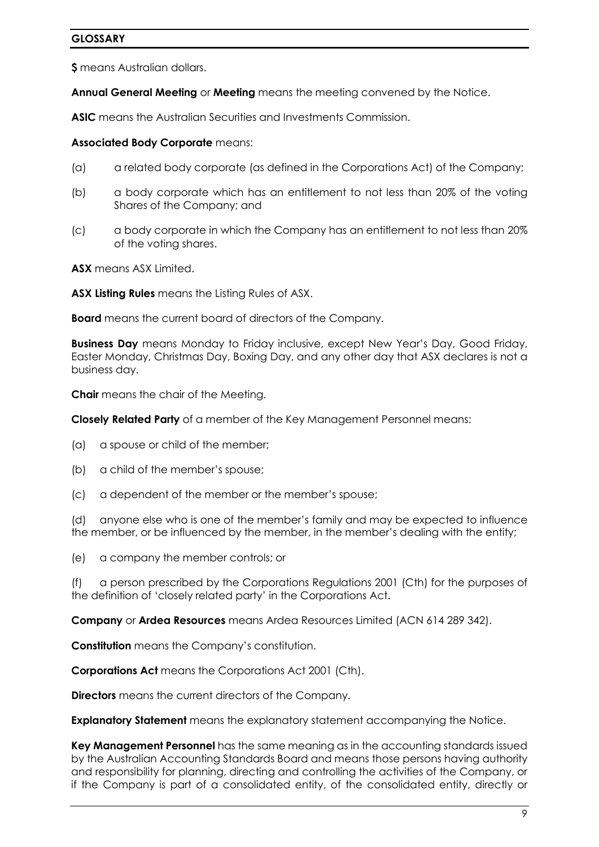## **GLOSSARY**

**\$** means Australian dollars.

**Annual General Meeting** or **Meeting** means the meeting convened by the Notice.

**ASIC** means the Australian Securities and Investments Commission.

#### **Associated Body Corporate** means:

- (a) a related body corporate (as defined in the Corporations Act) of the Company;
- (b) a body corporate which has an entitlement to not less than 20% of the voting Shares of the Company; and
- (c) a body corporate in which the Company has an entitlement to not less than 20% of the voting shares.

**ASX** means ASX Limited.

**ASX Listing Rules** means the Listing Rules of ASX.

**Board** means the current board of directors of the Company.

**Business Day** means Monday to Friday inclusive, except New Year's Day, Good Friday, Easter Monday, Christmas Day, Boxing Day, and any other day that ASX declares is not a business day.

**Chair** means the chair of the Meeting.

**Closely Related Party** of a member of the Key Management Personnel means:

- (a) a spouse or child of the member;
- (b) a child of the member's spouse;
- (c) a dependent of the member or the member's spouse;

(d) anyone else who is one of the member's family and may be expected to influence the member, or be influenced by the member, in the member's dealing with the entity;

(e) a company the member controls; or

(f) a person prescribed by the Corporations Regulations 2001 (Cth) for the purposes of the definition of 'closely related party' in the Corporations Act.

**Company** or **Ardea Resources** means Ardea Resources Limited (ACN 614 289 342).

**Constitution** means the Company's constitution.

**Corporations Act** means the Corporations Act 2001 (Cth).

**Directors** means the current directors of the Company.

**Explanatory Statement** means the explanatory statement accompanying the Notice.

**Key Management Personnel** has the same meaning as in the accounting standards issued by the Australian Accounting Standards Board and means those persons having authority and responsibility for planning, directing and controlling the activities of the Company, or if the Company is part of a consolidated entity, of the consolidated entity, directly or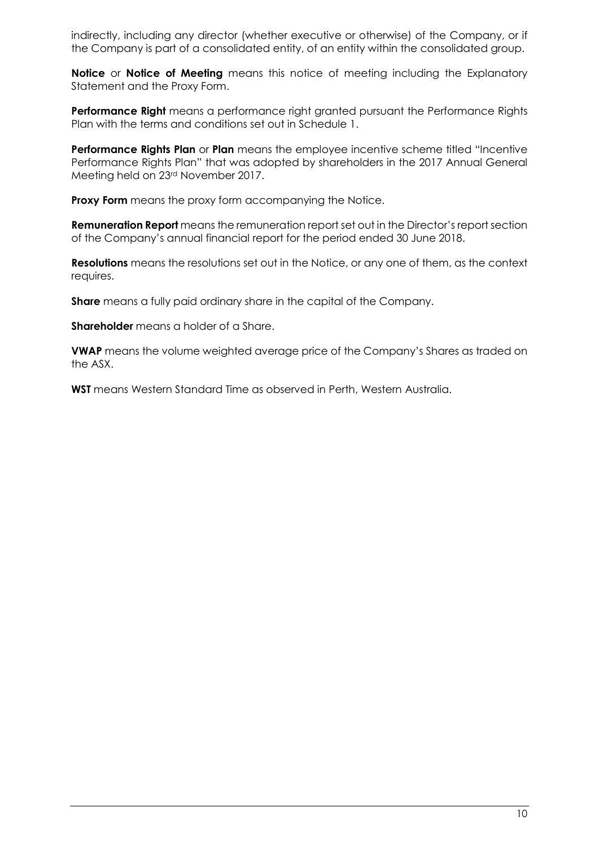indirectly, including any director (whether executive or otherwise) of the Company, or if the Company is part of a consolidated entity, of an entity within the consolidated group.

**Notice** or **Notice of Meeting** means this notice of meeting including the Explanatory Statement and the Proxy Form.

**Performance Right** means a performance right granted pursuant the Performance Rights Plan with the terms and conditions set out in Schedule 1.

**Performance Rights Plan** or **Plan** means the employee incentive scheme titled "Incentive Performance Rights Plan" that was adopted by shareholders in the 2017 Annual General Meeting held on 23rd November 2017.

**Proxy Form** means the proxy form accompanying the Notice.

**Remuneration Report** means the remuneration report set out in the Director's report section of the Company's annual financial report for the period ended 30 June 2018.

**Resolutions** means the resolutions set out in the Notice, or any one of them, as the context requires.

**Share** means a fully paid ordinary share in the capital of the Company.

**Shareholder** means a holder of a Share.

**VWAP** means the volume weighted average price of the Company's Shares as traded on the ASX.

**WST** means Western Standard Time as observed in Perth, Western Australia.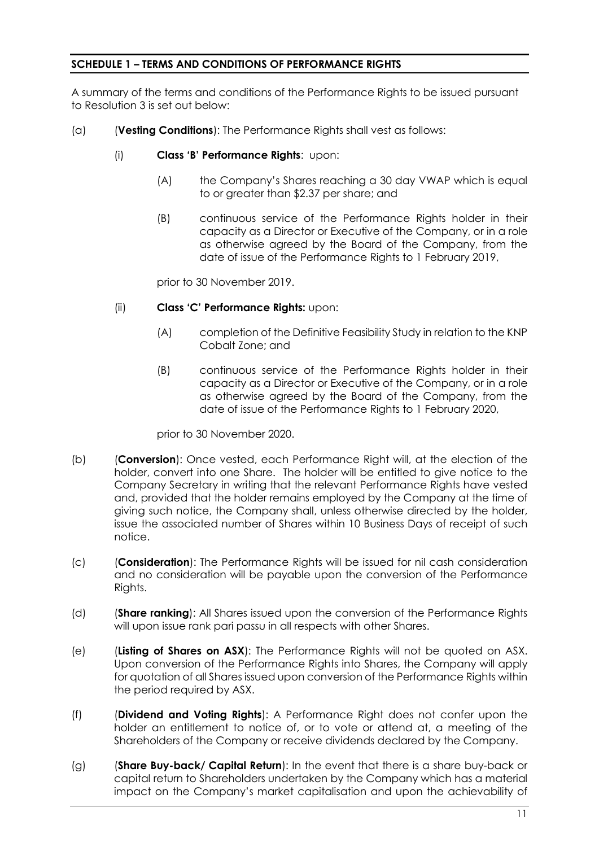## **SCHEDULE 1 – TERMS AND CONDITIONS OF PERFORMANCE RIGHTS**

A summary of the terms and conditions of the Performance Rights to be issued pursuant to Resolution 3 is set out below:

- <span id="page-11-0"></span>(a) (**Vesting Conditions**): The Performance Rights shall vest as follows:
	- (i) **Class 'B' Performance Rights**: upon:
		- (A) the Company's Shares reaching a 30 day VWAP which is equal to or greater than \$2.37 per share; and
		- (B) continuous service of the Performance Rights holder in their capacity as a Director or Executive of the Company, or in a role as otherwise agreed by the Board of the Company, from the date of issue of the Performance Rights to 1 February 2019,

prior to 30 November 2019.

- (ii) **Class 'C' Performance Rights:** upon:
	- (A) completion of the Definitive Feasibility Study in relation to the KNP Cobalt Zone; and
	- (B) continuous service of the Performance Rights holder in their capacity as a Director or Executive of the Company, or in a role as otherwise agreed by the Board of the Company, from the date of issue of the Performance Rights to 1 February 2020,

prior to 30 November 2020.

- (b) (**Conversion**): Once vested, each Performance Right will, at the election of the holder, convert into one Share. The holder will be entitled to give notice to the Company Secretary in writing that the relevant Performance Rights have vested and, provided that the holder remains employed by the Company at the time of giving such notice, the Company shall, unless otherwise directed by the holder, issue the associated number of Shares within 10 Business Days of receipt of such notice.
- (c) (**Consideration**): The Performance Rights will be issued for nil cash consideration and no consideration will be payable upon the conversion of the Performance Rights.
- (d) (**Share ranking**): All Shares issued upon the conversion of the Performance Rights will upon issue rank pari passu in all respects with other Shares.
- (e) (**Listing of Shares on ASX**): The Performance Rights will not be quoted on ASX. Upon conversion of the Performance Rights into Shares, the Company will apply for quotation of all Shares issued upon conversion of the Performance Rights within the period required by ASX.
- (f) (**Dividend and Voting Rights**): A Performance Right does not confer upon the holder an entitlement to notice of, or to vote or attend at, a meeting of the Shareholders of the Company or receive dividends declared by the Company.
- (g) (**Share Buy-back/ Capital Return**): In the event that there is a share buy-back or capital return to Shareholders undertaken by the Company which has a material impact on the Company's market capitalisation and upon the achievability of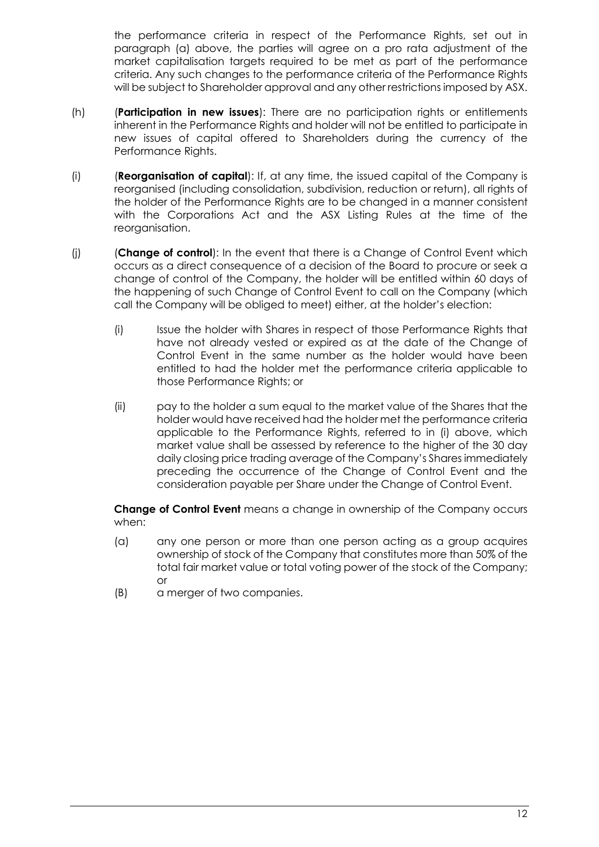the performance criteria in respect of the Performance Rights, set out in paragraph [\(a\)](#page-11-0) above, the parties will agree on a pro rata adjustment of the market capitalisation targets required to be met as part of the performance criteria. Any such changes to the performance criteria of the Performance Rights will be subject to Shareholder approval and any other restrictions imposed by ASX.

- (h) (**Participation in new issues**): There are no participation rights or entitlements inherent in the Performance Rights and holder will not be entitled to participate in new issues of capital offered to Shareholders during the currency of the Performance Rights.
- (i) (**Reorganisation of capital**): If, at any time, the issued capital of the Company is reorganised (including consolidation, subdivision, reduction or return), all rights of the holder of the Performance Rights are to be changed in a manner consistent with the Corporations Act and the ASX Listing Rules at the time of the reorganisation.
- <span id="page-12-0"></span>(j) (**Change of control**): In the event that there is a Change of Control Event which occurs as a direct consequence of a decision of the Board to procure or seek a change of control of the Company, the holder will be entitled within 60 days of the happening of such Change of Control Event to call on the Company (which call the Company will be obliged to meet) either, at the holder's election:
	- (i) Issue the holder with Shares in respect of those Performance Rights that have not already vested or expired as at the date of the Change of Control Event in the same number as the holder would have been entitled to had the holder met the performance criteria applicable to those Performance Rights; or
	- (ii) pay to the holder a sum equal to the market value of the Shares that the holder would have received had the holder met the performance criteria applicable to the Performance Rights, referred to in [\(i\)](#page-12-0) above, which market value shall be assessed by reference to the higher of the 30 day daily closing price trading average of the Company's Shares immediately preceding the occurrence of the Change of Control Event and the consideration payable per Share under the Change of Control Event.

**Change of Control Event** means a change in ownership of the Company occurs when:

- (a) any one person or more than one person acting as a group acquires ownership of stock of the Company that constitutes more than 50% of the total fair market value or total voting power of the stock of the Company; or
- (B) a merger of two companies.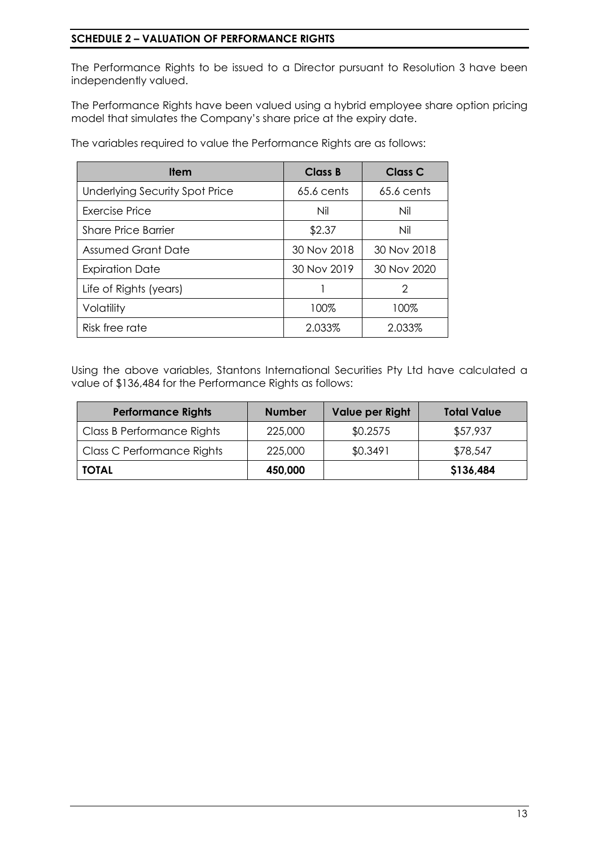# **SCHEDULE 2 – VALUATION OF PERFORMANCE RIGHTS**

The Performance Rights to be issued to a Director pursuant to Resolution 3 have been independently valued.

The Performance Rights have been valued using a hybrid employee share option pricing model that simulates the Company's share price at the expiry date.

The variables required to value the Performance Rights are as follows:

| <b>Item</b>                           | Class B      | <b>Class C</b> |
|---------------------------------------|--------------|----------------|
| <b>Underlying Security Spot Price</b> | $65.6$ cents | $65.6$ cents   |
| Exercise Price                        | Nil          | Nil            |
| <b>Share Price Barrier</b>            | \$2.37       | Nil            |
| <b>Assumed Grant Date</b>             | 30 Nov 2018  | 30 Nov 2018    |
| <b>Expiration Date</b>                | 30 Nov 2019  | 30 Nov 2020    |
| Life of Rights (years)                |              | 2              |
| Volatility                            | 100%         | 100%           |
| Risk free rate                        | 2.033%       | 2.033%         |

Using the above variables, Stantons International Securities Pty Ltd have calculated a value of \$136,484 for the Performance Rights as follows:

| <b>Performance Rights</b>  | <b>Number</b> | Value per Right | <b>Total Value</b> |
|----------------------------|---------------|-----------------|--------------------|
| Class B Performance Rights | 225,000       | \$0.2575        | \$57,937           |
| Class C Performance Rights | 225,000       | \$0.3491        | \$78,547           |
| <b>TOTAL</b>               | 450,000       |                 | \$136,484          |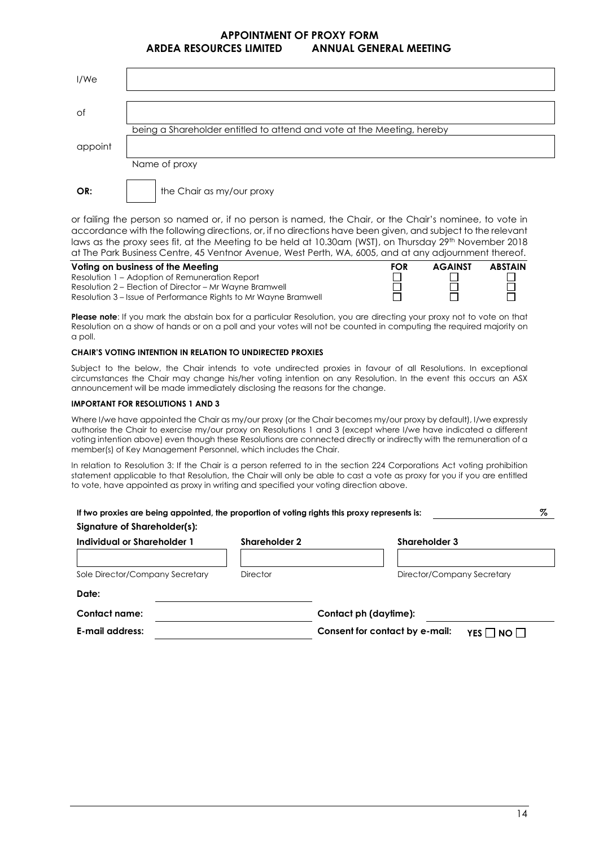#### **APPOINTMENT OF PROXY FORM ARDEA RESOURCES LIMITED ANNUAL GENERAL MEETING**

| I/We    |                                                                        |
|---------|------------------------------------------------------------------------|
| Оf      |                                                                        |
| appoint | being a Shareholder entitled to attend and vote at the Meeting, hereby |
|         | Name of proxy                                                          |
| OR:     | the Chair as my/our proxy                                              |

or failing the person so named or, if no person is named, the Chair, or the Chair's nominee, to vote in accordance with the following directions, or, if no directions have been given, and subject to the relevant laws as the proxy sees fit, at the Meeting to be held at 10.30am (WST), on Thursday 29<sup>th</sup> November 2018 at The Park Business Centre, 45 Ventnor Avenue, West Perth, WA, 6005, and at any adjournment thereof.

| Voting on business of the Meeting                               | <b>FOR</b> | <b>AGAINST</b> | <b>ABSTAIN</b> |
|-----------------------------------------------------------------|------------|----------------|----------------|
| Resolution 1 – Adoption of Remuneration Report                  |            |                |                |
| Resolution 2 – Election of Director – Mr Wayne Bramwell         |            |                |                |
| Resolution 3 – Issue of Performance Rights to Mr Wayne Bramwell |            |                |                |

**Please note:** If you mark the abstain box for a particular Resolution, you are directing your proxy not to yote on that Resolution on a show of hands or on a poll and your votes will not be counted in computing the required majority on a poll.

#### **CHAIR'S VOTING INTENTION IN RELATION TO UNDIRECTED PROXIES**

Subject to the below, the Chair intends to vote undirected proxies in favour of all Resolutions. In exceptional circumstances the Chair may change his/her voting intention on any Resolution. In the event this occurs an ASX announcement will be made immediately disclosing the reasons for the change.

#### **IMPORTANT FOR RESOLUTIONS 1 AND 3**

Where I/we have appointed the Chair as my/our proxy (or the Chair becomes my/our proxy by default), I/we expressly authorise the Chair to exercise my/our proxy on Resolutions 1 and 3 (except where I/we have indicated a different voting intention above) even though these Resolutions are connected directly or indirectly with the remuneration of a member(s) of Key Management Personnel, which includes the Chair.

In relation to Resolution 3: If the Chair is a person referred to in the section 224 Corporations Act voting prohibition statement applicable to that Resolution, the Chair will only be able to cast a vote as proxy for you if you are entitled to vote, have appointed as proxy in writing and specified your voting direction above.

| Individual or Shareholder 1     | <b>Shareholder 2</b> | <b>Shareholder 3</b>                         |
|---------------------------------|----------------------|----------------------------------------------|
|                                 |                      |                                              |
| Sole Director/Company Secretary | <b>Director</b>      | Director/Company Secretary                   |
| Date:                           |                      |                                              |
| Contact name:                   |                      | Contact ph (daytime):                        |
| E-mail address:                 |                      | Consent for contact by e-mail:<br>YES     NO |